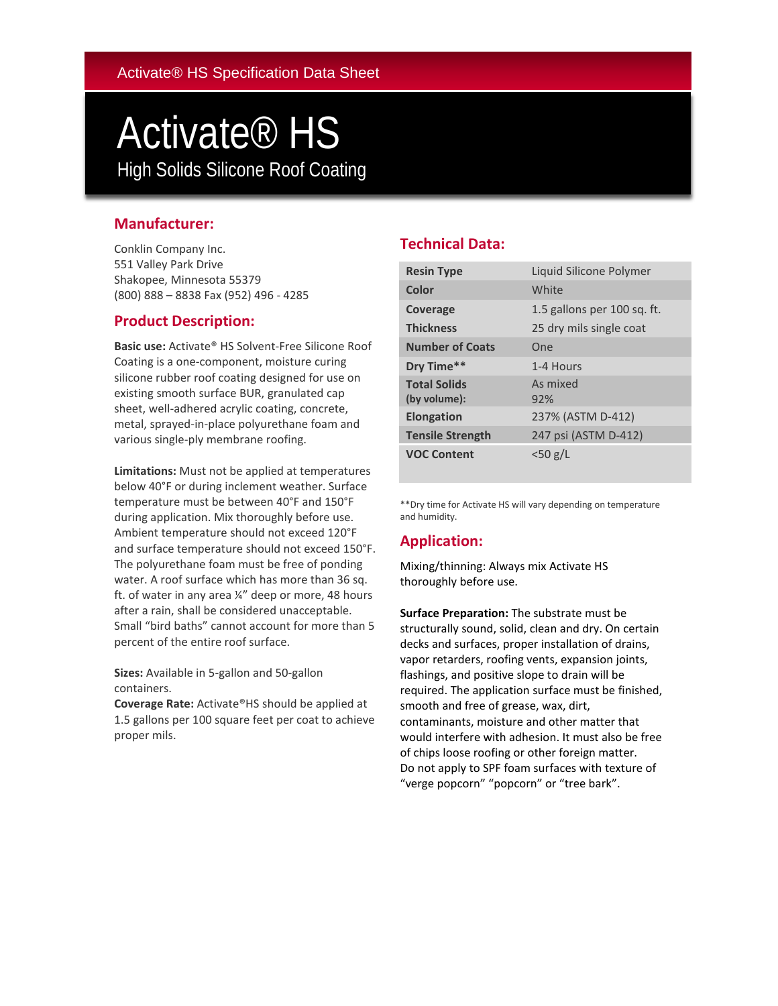# Activate® HS High Solids Silicone Roof Coating Coating

## **Manufacturer:**

Conklin Company Inc. 551 Valley Park Drive Shakopee, Minnesota 55379 (800) 888 – 8838 Fax (952) 496 - 4285

## **Product Description:**

**Basic use:** Activate® HS Solvent-Free Silicone Roof Coating is a one-component, moisture curing silicone rubber roof coating designed for use on existing smooth surface BUR, granulated cap sheet, well-adhered acrylic coating, concrete, metal, sprayed-in-place polyurethane foam and various single-ply membrane roofing.

**Limitations:** Must not be applied at temperatures below 40°F or during inclement weather. Surface temperature must be between 40°F and 150°F during application. Mix thoroughly before use. Ambient temperature should not exceed 120°F and surface temperature should not exceed 150°F. The polyurethane foam must be free of ponding water. A roof surface which has more than 36 sq. ft. of water in any area ¼" deep or more, 48 hours after a rain, shall be considered unacceptable. Small "bird baths" cannot account for more than 5 percent of the entire roof surface.

**Sizes:** Available in 5-gallon and 50-gallon containers.

**Coverage Rate:** Activate®HS should be applied at 1.5 gallons per 100 square feet per coat to achieve proper mils.

# **Technical Data:**

| <b>Resin Type</b>                   | Liquid Silicone Polymer     |
|-------------------------------------|-----------------------------|
| Color                               | White                       |
| Coverage                            | 1.5 gallons per 100 sq. ft. |
| <b>Thickness</b>                    | 25 dry mils single coat     |
| <b>Number of Coats</b>              | One                         |
| Dry Time**                          | 1-4 Hours                   |
| <b>Total Solids</b><br>(by volume): | As mixed<br>92%             |
| <b>Elongation</b>                   | 237% (ASTM D-412)           |
| <b>Tensile Strength</b>             | 247 psi (ASTM D-412)        |
| <b>VOC Content</b>                  | $<$ 50 g/L                  |

\*\*Dry time for Activate HS will vary depending on temperature and humidity.

## **Application:**

Mixing/thinning: Always mix Activate HS thoroughly before use.

**Surface Preparation:** The substrate must be structurally sound, solid, clean and dry. On certain decks and surfaces, proper installation of drains, vapor retarders, roofing vents, expansion joints, flashings, and positive slope to drain will be required. The application surface must be finished, smooth and free of grease, wax, dirt, contaminants, moisture and other matter that would interfere with adhesion. It must also be free of chips loose roofing or other foreign matter. Do not apply to SPF foam surfaces with texture of "verge popcorn" "popcorn" or "tree bark".